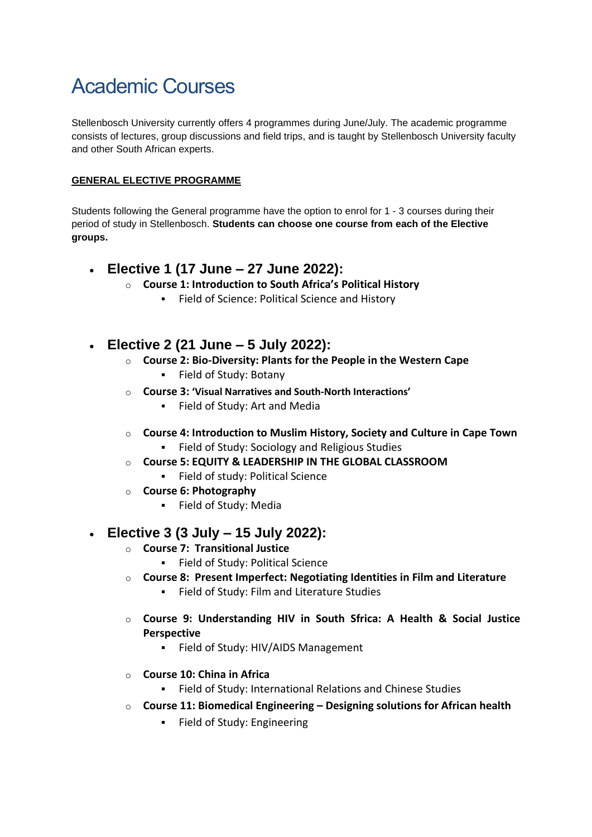# Academic Courses

Stellenbosch University currently offers 4 programmes during June/July. The academic programme consists of lectures, group discussions and field trips, and is taught by Stellenbosch University faculty and other South African experts.

#### **GENERAL ELECTIVE PROGRAMME**

Students following the General programme have the option to enrol for 1 - 3 courses during their period of study in Stellenbosch. **Students can choose one course from each of the Elective groups.**

- **Elective 1 (17 June – 27 June 2022):**
	- o **Course 1: [Introduction](https://www.dropbox.com/s/jle9apwseaarrd8/Course%201_%20Introduction%20to%20South%20Africa%27s%20Political%20History%20Outline%202015.pdf?dl=0) to South Africa's Political History**
		- **EXECTE:** Political Science and History
- **Elective 2 (21 June – 5 July 2022):**
	- o **Course 2: [Bio-Diversity:](https://www.dropbox.com/s/zpyz6ilfuy9r3e5/Course%202_Bio%20Diversity.pdf?dl=0) Plants for the People in the Western Cape**
		- Field of Study: Botany
	- o **Course 3: ['Visual Narratives and South](https://www.dropbox.com/s/lw0x2oegk1cxlp4/Course%203_Visual%20Controversies.pdf?dl=0)-[North Interactions'](https://www.dropbox.com/s/lw0x2oegk1cxlp4/Course%203_Visual%20Controversies.pdf?dl=0)**
		- Field of Study: Art and Media
	- o **Course 4: Introduction to Muslim History, Society and Culture in Cape Town**
		- Field of Study: Sociology and Religious Studies
	- o **Course 5: EQUITY & LEADERSHIP IN THE GLOBAL CLASSROOM**
		- Field of study: Political Science
	- o **Course 6: [Photography](https://www.dropbox.com/s/rlitxgmta494jv7/Course%207_Challenges%20for%20Democratic%20Consolidation.pdf?dl=0)**
		- Field of Study: Media

#### • **Elective 3 (3 July – 15 July 2022):**

- o **[Course](https://www.dropbox.com/s/pfy3xyqslggw8af/Course%204_HIV_AIDS.pdf?dl=0) 7: Transitional Justice**
	- Field of Study: Political Science
- o **[Course](https://www.dropbox.com/s/lk87hx55x5ezthq/Course%208%20Ethics%2C%20Science%20and%20Culture%20in%20Philosophical%20Perspective.pdf?dl=0) 8: Present Imperfect: Negotiating Identities in Film and Literature**
	- Field of Study: Film and Literature Studies
- o **Course 9: Understanding HIV in South Sfrica: A [Health & Social Justice](https://www.dropbox.com/s/d4472mqpqnxu8yj/Course%209_%20China%20in%20Africa-an%20introduction.pdf?dl=0)  [Perspective](https://www.dropbox.com/s/d4472mqpqnxu8yj/Course%209_%20China%20in%20Africa-an%20introduction.pdf?dl=0)**
	- Field of Study: HIV/AIDS Management
- o **[Course](https://www.dropbox.com/s/ta3qpkvfkuatoko/Course%2011%20MarketingOutline.pdf?dl=0) 10: China in Africa**
	- Field of Study: International Relations and Chinese Studies
- o **Course 11: Biomedical Engineering – Designing solutions for African health**
	- Field of Study: Engineering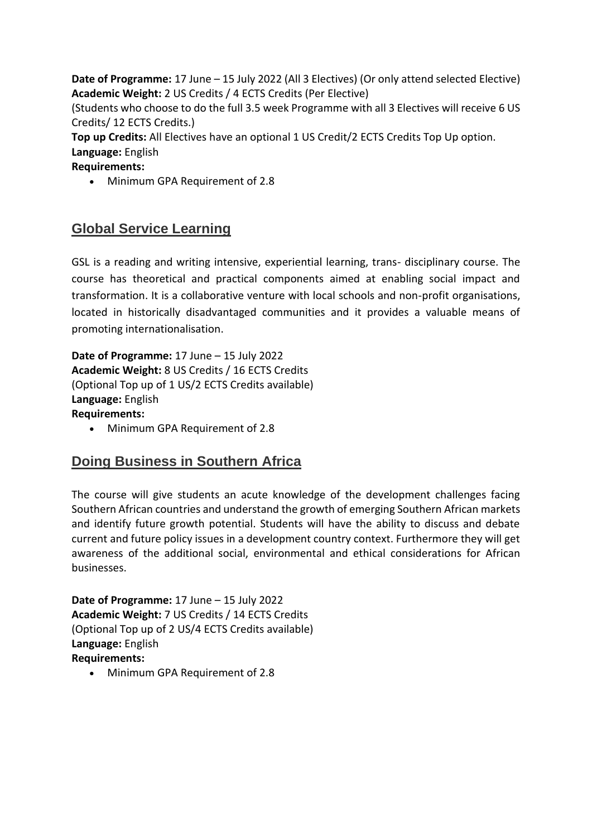**Date of Programme:** 17 June – 15 July 2022 (All 3 Electives) (Or only attend selected Elective) **Academic Weight:** 2 US Credits / 4 ECTS Credits (Per Elective)

(Students who choose to do the full 3.5 week Programme with all 3 Electives will receive 6 US Credits/ 12 ECTS Credits.)

**Top up Credits:** All Electives have an optional 1 US Credit/2 ECTS Credits Top Up option. **Language:** English

**Requirements:**

• Minimum GPA Requirement of 2.8

### **Global Service Learning**

GSL is a reading and writing intensive, experiential learning, trans- disciplinary course. The course has theoretical and practical components aimed at enabling social impact and transformation. It is a collaborative venture with local schools and non-profit organisations, located in historically disadvantaged communities and it provides a valuable means of promoting internationalisation.

**Date of Programme:** 17 June – 15 July 2022 **Academic Weight:** 8 US Credits / 16 ECTS Credits (Optional Top up of 1 US/2 ECTS Credits available) **Language:** English **Requirements:**

• Minimum GPA Requirement of 2.8

#### **Doing Business in Southern Africa**

The course will give students an acute knowledge of the development challenges facing Southern African countries and understand the growth of emerging Southern African markets and identify future growth potential. Students will have the ability to discuss and debate current and future policy issues in a development country context. Furthermore they will get awareness of the additional social, environmental and ethical considerations for African businesses.

**Date of Programme:** 17 June – 15 July 2022 **Academic Weight:** 7 US Credits / 14 ECTS Credits (Optional Top up of 2 US/4 ECTS Credits available) **Language:** English **Requirements:**

• Minimum GPA Requirement of 2.8